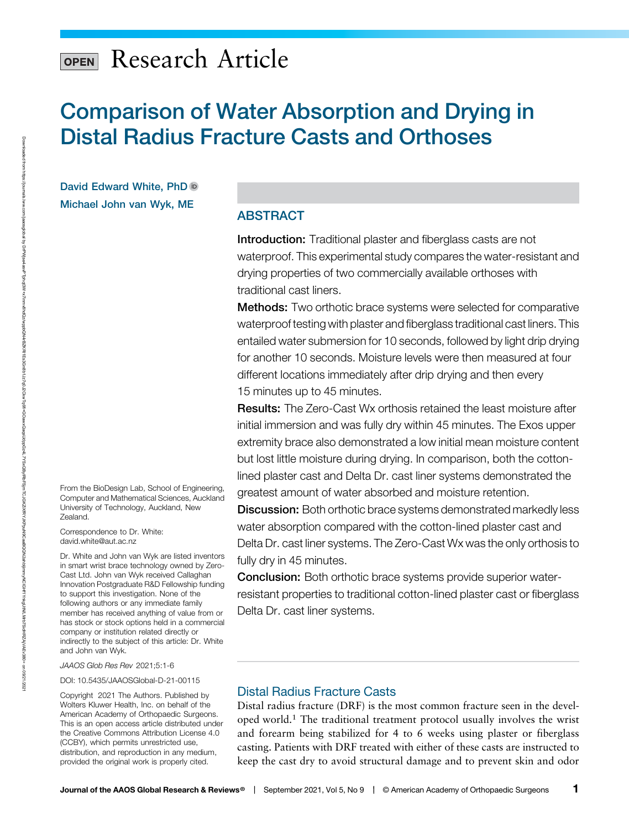# Research Article

## Comparison of Water Absorption and Drying in Distal Radius Fracture Casts and Orthoses

[D](http://orcid.org/0000-0002-4981-0480)avid Edward White, PhD iD Michael John van Wyk, ME

**ABSTRACT** 

**Introduction:** Traditional plaster and fiberglass casts are not waterproof. This experimental study compares the water-resistant and drying properties of two commercially available orthoses with traditional cast liners.

Methods: Two orthotic brace systems were selected for comparative waterproof testing with plaster and fiberglass traditional cast liners. This entailed water submersion for 10 seconds, followed by light drip drying for another 10 seconds. Moisture levels were then measured at four different locations immediately after drip drying and then every 15 minutes up to 45 minutes.

Results: The Zero-Cast Wx orthosis retained the least moisture after initial immersion and was fully dry within 45 minutes. The Exos upper extremity brace also demonstrated a low initial mean moisture content but lost little moisture during drying. In comparison, both the cottonlined plaster cast and Delta Dr. cast liner systems demonstrated the greatest amount of water absorbed and moisture retention.

Discussion: Both orthotic brace systems demonstrated markedly less water absorption compared with the cotton-lined plaster cast and Delta Dr. cast liner systems. The Zero-Cast Wx was the only orthosis to fully dry in 45 minutes.

**Conclusion:** Both orthotic brace systems provide superior waterresistant properties to traditional cotton-lined plaster cast or fiberglass Delta Dr. cast liner systems.

From the BioDesign Lab, School of Engineering, Computer and Mathematical Sciences, Auckland University of Technology, Auckland, New Zealand.

Correspondence to Dr. White: [david.white@aut.ac.nz](mailto:david.white@aut.ac.nz)

Dr. White and John van Wyk are listed inventors in smart wrist brace technology owned by Zero-Cast Ltd. John van Wyk received Callaghan Innovation Postgraduate R&D Fellowship funding to support this investigation. None of the following authors or any immediate family member has received anything of value from or has stock or stock options held in a commercial company or institution related directly or indirectly to the subject of this article: Dr. White and John van Wyk.

JAAOS Glob Res Rev 2021;5:1-6

DOI: [10.5435/JAAOSGlobal-D-21-00115](http://dx.doi.org/10.5435/JAAOSGlobal-D-21-00115)

Copyright 2021 The Authors. Published by Wolters Kluwer Health, Inc. on behalf of the American Academy of Orthopaedic Surgeons. This is an open access article distributed under the [Creative Commons Attribution License 4.0](http://creativecommons.org/licenses/by/4.0/) [\(CCBY\),](http://creativecommons.org/licenses/by/4.0/) which permits unrestricted use, distribution, and reproduction in any medium, provided the original work is properly cited.

## Distal Radius Fracture Casts

Distal radius fracture (DRF) is the most common fracture seen in the developed world.<sup>1</sup> The traditional treatment protocol usually involves the wrist and forearm being stabilized for 4 to 6 weeks using plaster or fiberglass casting. Patients with DRF treated with either of these casts are instructed to keep the cast dry to avoid structural damage and to prevent skin and odor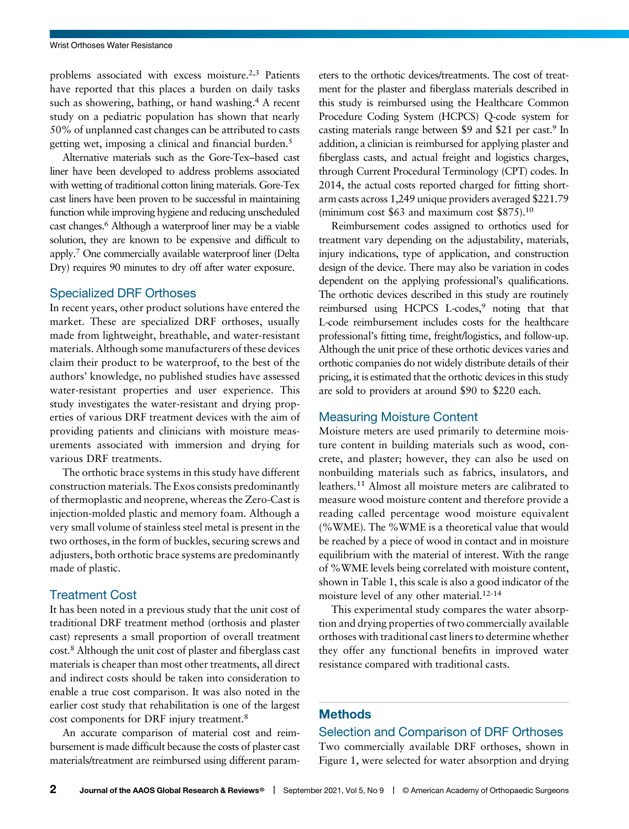problems associated with excess moisture.2,3 Patients have reported that this places a burden on daily tasks such as showering, bathing, or hand washing.<sup>4</sup> A recent study on a pediatric population has shown that nearly 50% of unplanned cast changes can be attributed to casts getting wet, imposing a clinical and financial burden.<sup>5</sup>

Alternative materials such as the Gore-Tex–based cast liner have been developed to address problems associated with wetting of traditional cotton lining materials. Gore-Tex cast liners have been proven to be successful in maintaining function while improving hygiene and reducing unscheduled cast changes.6 Although a waterproof liner may be a viable solution, they are known to be expensive and difficult to apply.7 One commercially available waterproof liner (Delta Dry) requires 90 minutes to dry off after water exposure.

#### Specialized DRF Orthoses

In recent years, other product solutions have entered the market. These are specialized DRF orthoses, usually made from lightweight, breathable, and water-resistant materials. Although some manufacturers of these devices claim their product to be waterproof, to the best of the authors' knowledge, no published studies have assessed water-resistant properties and user experience. This study investigates the water-resistant and drying properties of various DRF treatment devices with the aim of providing patients and clinicians with moisture measurements associated with immersion and drying for various DRF treatments.

The orthotic brace systems in this study have different construction materials. The Exos consists predominantly of thermoplastic and neoprene, whereas the Zero-Cast is injection-molded plastic and memory foam. Although a very small volume of stainless steel metal is present in the two orthoses, in the form of buckles, securing screws and adjusters, both orthotic brace systems are predominantly made of plastic.

#### Treatment Cost

It has been noted in a previous study that the unit cost of traditional DRF treatment method (orthosis and plaster cast) represents a small proportion of overall treatment cost.8 Although the unit cost of plaster and fiberglass cast materials is cheaper than most other treatments, all direct and indirect costs should be taken into consideration to enable a true cost comparison. It was also noted in the earlier cost study that rehabilitation is one of the largest cost components for DRF injury treatment.8

An accurate comparison of material cost and reimbursement is made difficult because the costs of plaster cast materials/treatment are reimbursed using different parameters to the orthotic devices/treatments. The cost of treatment for the plaster and fiberglass materials described in this study is reimbursed using the Healthcare Common Procedure Coding System (HCPCS) Q-code system for casting materials range between \$9 and \$21 per cast.<sup>9</sup> In addition, a clinician is reimbursed for applying plaster and fiberglass casts, and actual freight and logistics charges, through Current Procedural Terminology (CPT) codes. In 2014, the actual costs reported charged for fitting shortarm casts across 1,249 unique providers averaged \$221.79 (minimum cost  $$63$  and maximum cost  $$875$ ).<sup>10</sup>

Reimbursement codes assigned to orthotics used for treatment vary depending on the adjustability, materials, injury indications, type of application, and construction design of the device. There may also be variation in codes dependent on the applying professional's qualifications. The orthotic devices described in this study are routinely reimbursed using HCPCS L-codes,<sup>9</sup> noting that that L-code reimbursement includes costs for the healthcare professional's fitting time, freight/logistics, and follow-up. Although the unit price of these orthotic devices varies and orthotic companies do not widely distribute details of their pricing, it is estimated that the orthotic devices in this study are sold to providers at around \$90 to \$220 each.

#### Measuring Moisture Content

Moisture meters are used primarily to determine moisture content in building materials such as wood, concrete, and plaster; however, they can also be used on nonbuilding materials such as fabrics, insulators, and leathers.<sup>11</sup> Almost all moisture meters are calibrated to measure wood moisture content and therefore provide a reading called percentage wood moisture equivalent (%WME). The %WME is a theoretical value that would be reached by a piece of wood in contact and in moisture equilibrium with the material of interest. With the range of %WME levels being correlated with moisture content, shown in Table 1, this scale is also a good indicator of the moisture level of any other material.<sup>12-14</sup>

This experimental study compares the water absorption and drying properties of two commercially available orthoses with traditional cast liners to determine whether they offer any functional benefits in improved water resistance compared with traditional casts.

## **Methods**

### Selection and Comparison of DRF Orthoses

Two commercially available DRF orthoses, shown in Figure 1, were selected for water absorption and drying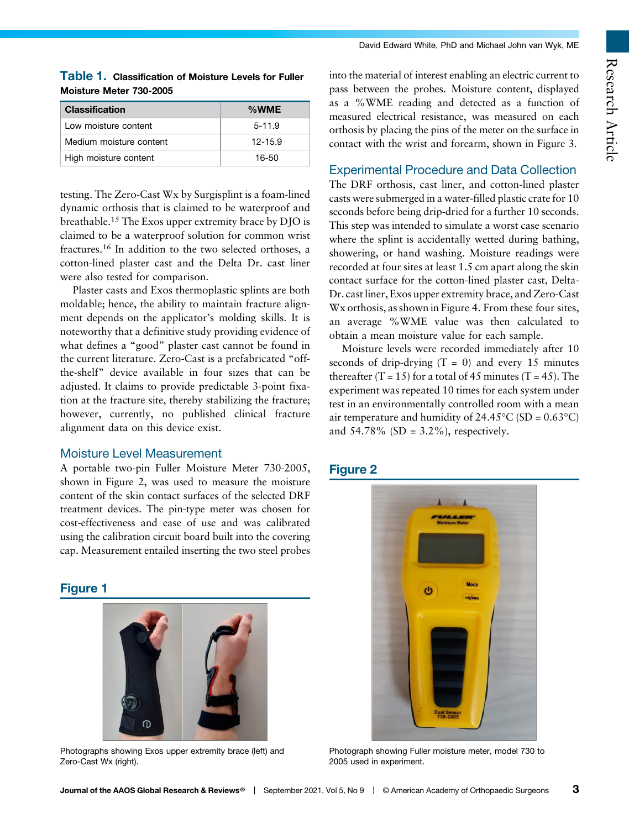#### David Edward White, PhD and Michael John van Wyk, ME

#### Table 1. Classification of Moisture Levels for Fuller Moisture Meter 730-2005

| <b>Classification</b>   | %WME        |
|-------------------------|-------------|
| Low moisture content    | $5 - 11.9$  |
| Medium moisture content | $12 - 15.9$ |
| High moisture content   | 16-50       |

testing. The Zero-Cast Wx by Surgisplint is a foam-lined dynamic orthosis that is claimed to be waterproof and breathable.15 The Exos upper extremity brace by DJO is claimed to be a waterproof solution for common wrist fractures.<sup>16</sup> In addition to the two selected orthoses, a cotton-lined plaster cast and the Delta Dr. cast liner were also tested for comparison.

Plaster casts and Exos thermoplastic splints are both moldable; hence, the ability to maintain fracture alignment depends on the applicator's molding skills. It is noteworthy that a definitive study providing evidence of what defines a "good" plaster cast cannot be found in the current literature. Zero-Cast is a prefabricated "offthe-shelf" device available in four sizes that can be adjusted. It claims to provide predictable 3-point fixation at the fracture site, thereby stabilizing the fracture; however, currently, no published clinical fracture alignment data on this device exist.

### Moisture Level Measurement

A portable two-pin Fuller Moisture Meter 730-2005, shown in Figure 2, was used to measure the moisture content of the skin contact surfaces of the selected DRF treatment devices. The pin-type meter was chosen for cost-effectiveness and ease of use and was calibrated using the calibration circuit board built into the covering cap. Measurement entailed inserting the two steel probes

## Figure 1



Photographs showing Exos upper extremity brace (left) and Zero-Cast Wx (right).

into the material of interest enabling an electric current to pass between the probes. Moisture content, displayed as a %WME reading and detected as a function of measured electrical resistance, was measured on each orthosis by placing the pins of the meter on the surface in contact with the wrist and forearm, shown in Figure 3.

## Experimental Procedure and Data Collection

The DRF orthosis, cast liner, and cotton-lined plaster casts were submerged in a water-filled plastic crate for 10 seconds before being drip-dried for a further 10 seconds. This step was intended to simulate a worst case scenario where the splint is accidentally wetted during bathing, showering, or hand washing. Moisture readings were recorded at four sites at least 1.5 cm apart along the skin contact surface for the cotton-lined plaster cast, Delta-Dr. cast liner, Exos upper extremity brace, and Zero-Cast Wx orthosis, as shown in Figure 4. From these four sites, an average %WME value was then calculated to obtain a mean moisture value for each sample.

Moisture levels were recorded immediately after 10 seconds of drip-drying  $(T = 0)$  and every 15 minutes thereafter  $(T = 15)$  for a total of 45 minutes  $(T = 45)$ . The experiment was repeated 10 times for each system under test in an environmentally controlled room with a mean air temperature and humidity of  $24.45^{\circ}$ C (SD = 0.63 $^{\circ}$ C) and  $54.78\%$  (SD = 3.2%), respectively.

## Figure 2



Photograph showing Fuller moisture meter, model 730 to 2005 used in experiment.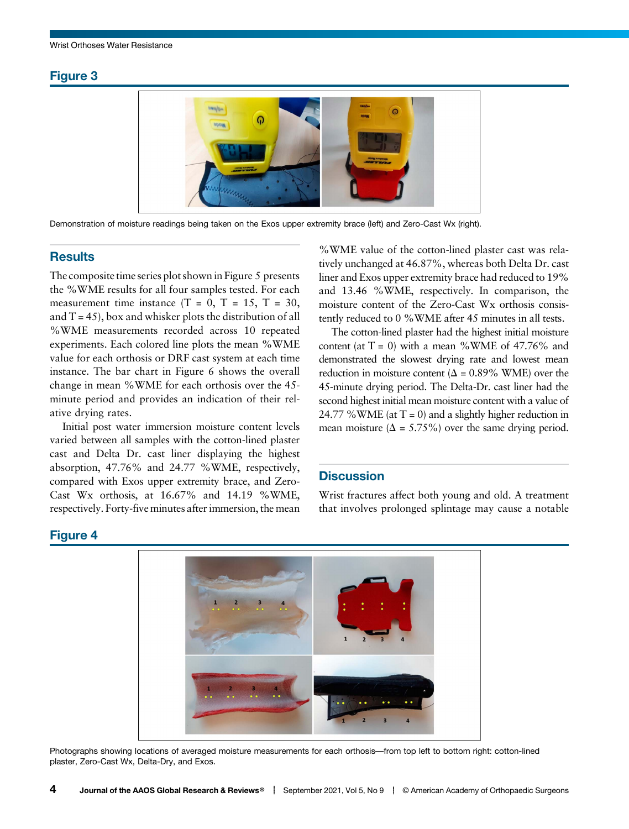### Figure 3



Demonstration of moisture readings being taken on the Exos upper extremity brace (left) and Zero-Cast Wx (right).

#### **Results**

The composite time series plot shown in Figure 5 presents the %WME results for all four samples tested. For each measurement time instance  $(T = 0, T = 15, T = 30,$ and  $T = 45$ ), box and whisker plots the distribution of all %WME measurements recorded across 10 repeated experiments. Each colored line plots the mean %WME value for each orthosis or DRF cast system at each time instance. The bar chart in Figure 6 shows the overall change in mean %WME for each orthosis over the 45 minute period and provides an indication of their relative drying rates.

Initial post water immersion moisture content levels varied between all samples with the cotton-lined plaster cast and Delta Dr. cast liner displaying the highest absorption, 47.76% and 24.77 %WME, respectively, compared with Exos upper extremity brace, and Zero-Cast Wx orthosis, at 16.67% and 14.19 %WME, respectively. Forty-five minutes after immersion, the mean

%WME value of the cotton-lined plaster cast was relatively unchanged at 46.87%, whereas both Delta Dr. cast liner and Exos upper extremity brace had reduced to 19% and 13.46 %WME, respectively. In comparison, the moisture content of the Zero-Cast Wx orthosis consistently reduced to 0 %WME after 45 minutes in all tests.

The cotton-lined plaster had the highest initial moisture content (at  $T = 0$ ) with a mean %WME of 47.76% and demonstrated the slowest drying rate and lowest mean reduction in moisture content ( $\Delta = 0.89\%$  WME) over the 45-minute drying period. The Delta-Dr. cast liner had the second highest initial mean moisture content with a value of 24.77 %WME (at  $T = 0$ ) and a slightly higher reduction in mean moisture ( $\Delta = 5.75\%$ ) over the same drying period.

#### **Discussion**

Wrist fractures affect both young and old. A treatment that involves prolonged splintage may cause a notable

### Figure 4



Photographs showing locations of averaged moisture measurements for each orthosis—from top left to bottom right: cotton-lined plaster, Zero-Cast Wx, Delta-Dry, and Exos.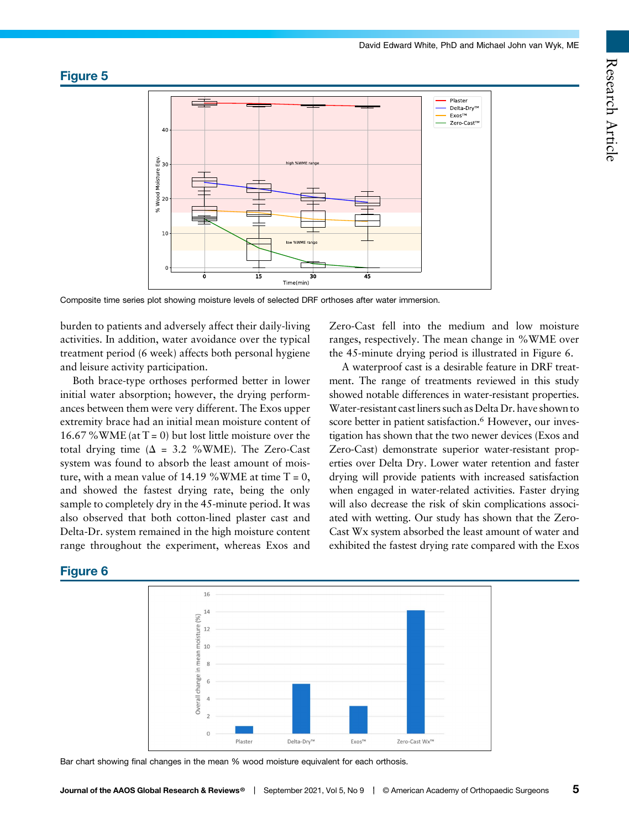



Composite time series plot showing moisture levels of selected DRF orthoses after water immersion.

burden to patients and adversely affect their daily-living activities. In addition, water avoidance over the typical treatment period (6 week) affects both personal hygiene and leisure activity participation.

Both brace-type orthoses performed better in lower initial water absorption; however, the drying performances between them were very different. The Exos upper extremity brace had an initial mean moisture content of 16.67 %WME (at  $T = 0$ ) but lost little moisture over the total drying time ( $\Delta$  = 3.2 %WME). The Zero-Cast system was found to absorb the least amount of moisture, with a mean value of 14.19 %WME at time  $T = 0$ , and showed the fastest drying rate, being the only sample to completely dry in the 45-minute period. It was also observed that both cotton-lined plaster cast and Delta-Dr. system remained in the high moisture content range throughout the experiment, whereas Exos and

Figure 6



Bar chart showing final changes in the mean % wood moisture equivalent for each orthosis.

Zero-Cast fell into the medium and low moisture ranges, respectively. The mean change in %WME over the 45-minute drying period is illustrated in Figure 6.

A waterproof cast is a desirable feature in DRF treatment. The range of treatments reviewed in this study showed notable differences in water-resistant properties. Water-resistant cast liners such as Delta Dr. have shown to score better in patient satisfaction.<sup>6</sup> However, our investigation has shown that the two newer devices (Exos and Zero-Cast) demonstrate superior water-resistant properties over Delta Dry. Lower water retention and faster drying will provide patients with increased satisfaction when engaged in water-related activities. Faster drying will also decrease the risk of skin complications associated with wetting. Our study has shown that the Zero-Cast Wx system absorbed the least amount of water and exhibited the fastest drying rate compared with the Exos